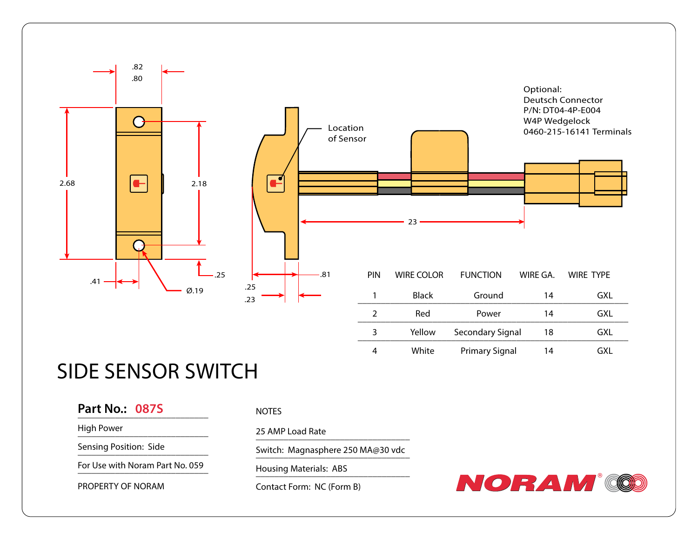

# SIDE SENSOR SWITCH

## **Part No.: 087S** \_\_\_\_\_\_\_\_\_\_\_\_\_\_\_\_\_\_\_\_\_\_\_\_\_\_\_\_

High Power

Sensing Position: Side

For Use with Noram Part No. 059

PROPERTY OF NORAM

### NOTES

25 AMP Load Rate

Switch: Magnasphere 250 MA@30 vdc

Housing Materials: ABS

Contact Form: NC (Form B)